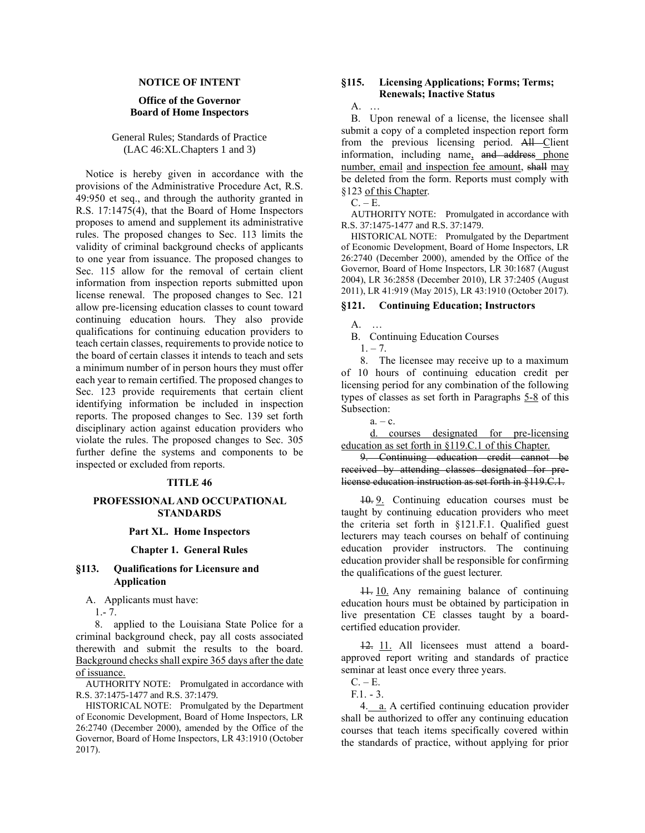## **NOTICE OF INTENT**

## **Office of the Governor Board of Home Inspectors**

General Rules; Standards of Practice (LAC 46:XL.Chapters 1 and 3)

Notice is hereby given in accordance with the provisions of the Administrative Procedure Act, R.S. 49:950 et seq., and through the authority granted in R.S. 17:1475(4), that the Board of Home Inspectors proposes to amend and supplement its administrative rules. The proposed changes to Sec. 113 limits the validity of criminal background checks of applicants to one year from issuance. The proposed changes to Sec. 115 allow for the removal of certain client information from inspection reports submitted upon license renewal. The proposed changes to Sec. 121 allow pre-licensing education classes to count toward continuing education hours. They also provide qualifications for continuing education providers to teach certain classes, requirements to provide notice to the board of certain classes it intends to teach and sets a minimum number of in person hours they must offer each year to remain certified. The proposed changes to Sec. 123 provide requirements that certain client identifying information be included in inspection reports. The proposed changes to Sec. 139 set forth disciplinary action against education providers who violate the rules. The proposed changes to Sec. 305 further define the systems and components to be inspected or excluded from reports.

#### **TITLE 46**

### **PROFESSIONAL AND OCCUPATIONAL STANDARDS**

### **Part XL. Home Inspectors**

### **Chapter 1. General Rules**

### **§113. Qualifications for Licensure and Application**

A. Applicants must have:

1.- 7.

8. applied to the Louisiana State Police for a criminal background check, pay all costs associated therewith and submit the results to the board. Background checks shall expire 365 days after the date of issuance.

AUTHORITY NOTE: Promulgated in accordance with R.S. 37:1475-1477 and R.S. 37:1479.

HISTORICAL NOTE: Promulgated by the Department of Economic Development, Board of Home Inspectors, LR 26:2740 (December 2000), amended by the Office of the Governor, Board of Home Inspectors, LR 43:1910 (October 2017).

## **§115. Licensing Applications; Forms; Terms; Renewals; Inactive Status**

A. …

B. Upon renewal of a license, the licensee shall submit a copy of a completed inspection report form from the previous licensing period. All Client information, including name, and address phone number, email and inspection fee amount, shall may be deleted from the form. Reports must comply with §123 of this Chapter.

 $C. - E.$ 

AUTHORITY NOTE: Promulgated in accordance with R.S. 37:1475-1477 and R.S. 37:1479.

HISTORICAL NOTE: Promulgated by the Department of Economic Development, Board of Home Inspectors, LR 26:2740 (December 2000), amended by the Office of the Governor, Board of Home Inspectors, LR 30:1687 (August 2004), LR 36:2858 (December 2010), LR 37:2405 (August 2011), LR 41:919 (May 2015), LR 43:1910 (October 2017).

# **§121. Continuing Education; Instructors**

A. …

B. Continuing Education Courses

 $1, -7.$ 

8. The licensee may receive up to a maximum of 10 hours of continuing education credit per licensing period for any combination of the following types of classes as set forth in Paragraphs 5-8 of this Subsection:

 $a_{\cdot} - c_{\cdot}$ 

d. courses designated for pre-licensing education as set forth in §119.C.1 of this Chapter.

9. Continuing education credit cannot be received by attending classes designated for prelicense education instruction as set forth in §119.C.1.

10. 9. Continuing education courses must be taught by continuing education providers who meet the criteria set forth in §121.F.1. Qualified guest lecturers may teach courses on behalf of continuing education provider instructors. The continuing education provider shall be responsible for confirming the qualifications of the guest lecturer.

11. 10. Any remaining balance of continuing education hours must be obtained by participation in live presentation CE classes taught by a boardcertified education provider.

12. 11. All licensees must attend a boardapproved report writing and standards of practice seminar at least once every three years.

4. a. A certified continuing education provider shall be authorized to offer any continuing education courses that teach items specifically covered within the standards of practice, without applying for prior

 $C. - E.$ 

F.1. - 3.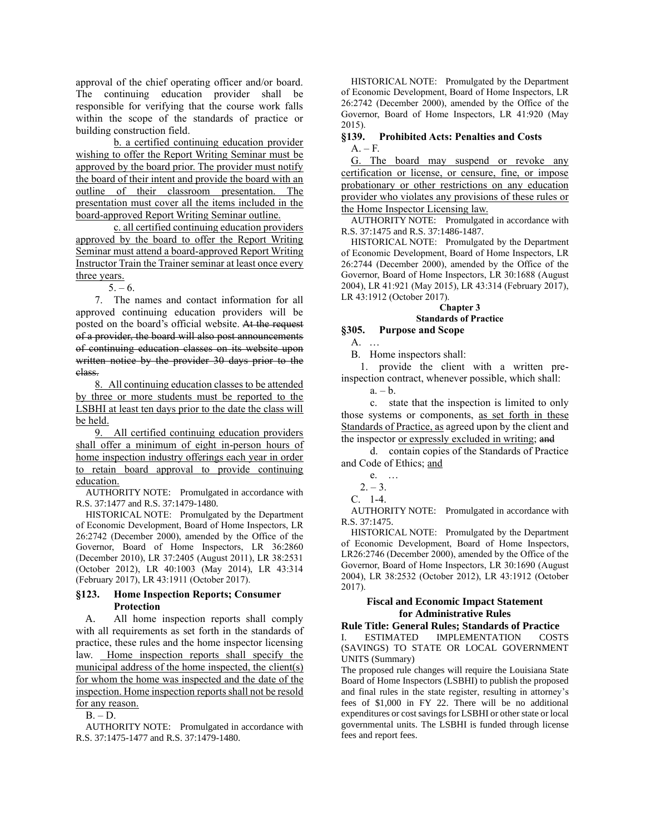approval of the chief operating officer and/or board. The continuing education provider shall be responsible for verifying that the course work falls within the scope of the standards of practice or building construction field.

b. a certified continuing education provider wishing to offer the Report Writing Seminar must be approved by the board prior. The provider must notify the board of their intent and provide the board with an outline of their classroom presentation. The presentation must cover all the items included in the board-approved Report Writing Seminar outline.

c. all certified continuing education providers approved by the board to offer the Report Writing Seminar must attend a board-approved Report Writing Instructor Train the Trainer seminar at least once every three years.

 $5. - 6.$ 

7. The names and contact information for all approved continuing education providers will be posted on the board's official website. At the request of a provider, the board will also post announcements of continuing education classes on its website upon written notice by the provider 30 days prior to the class.

8. All continuing education classes to be attended by three or more students must be reported to the LSBHI at least ten days prior to the date the class will be held.

9. All certified continuing education providers shall offer a minimum of eight in-person hours of home inspection industry offerings each year in order to retain board approval to provide continuing education.

AUTHORITY NOTE: Promulgated in accordance with R.S. 37:1477 and R.S. 37:1479-1480.

HISTORICAL NOTE: Promulgated by the Department of Economic Development, Board of Home Inspectors, LR 26:2742 (December 2000), amended by the Office of the Governor, Board of Home Inspectors, LR 36:2860 (December 2010), LR 37:2405 (August 2011), LR 38:2531 (October 2012), LR 40:1003 (May 2014), LR 43:314 (February 2017), LR 43:1911 (October 2017).

## **§123. Home Inspection Reports; Consumer Protection**

A. All home inspection reports shall comply with all requirements as set forth in the standards of practice, these rules and the home inspector licensing law. Home inspection reports shall specify the municipal address of the home inspected, the client(s) for whom the home was inspected and the date of the inspection. Home inspection reports shall not be resold for any reason.

 $B. - D.$ 

AUTHORITY NOTE: Promulgated in accordance with R.S. 37:1475-1477 and R.S. 37:1479-1480.

HISTORICAL NOTE: Promulgated by the Department of Economic Development, Board of Home Inspectors, LR 26:2742 (December 2000), amended by the Office of the Governor, Board of Home Inspectors, LR 41:920 (May 2015).

## **§139. Prohibited Acts: Penalties and Costs**  $A - F$ .

G. The board may suspend or revoke any certification or license, or censure, fine, or impose probationary or other restrictions on any education provider who violates any provisions of these rules or the Home Inspector Licensing law.

AUTHORITY NOTE: Promulgated in accordance with R.S. 37:1475 and R.S. 37:1486-1487.

HISTORICAL NOTE: Promulgated by the Department of Economic Development, Board of Home Inspectors, LR 26:2744 (December 2000), amended by the Office of the Governor, Board of Home Inspectors, LR 30:1688 (August 2004), LR 41:921 (May 2015), LR 43:314 (February 2017), LR 43:1912 (October 2017).

# **Chapter 3 Standards of Practice**

# **§305. Purpose and Scope**

A. …

B. Home inspectors shall:

1. provide the client with a written preinspection contract, whenever possible, which shall:

 $a. - b.$ 

c. state that the inspection is limited to only those systems or components, as set forth in these Standards of Practice, as agreed upon by the client and the inspector or expressly excluded in writing; and

d. contain copies of the Standards of Practice and Code of Ethics; and

e. …

C. 1-4.

AUTHORITY NOTE: Promulgated in accordance with R.S. 37:1475.

HISTORICAL NOTE: Promulgated by the Department of Economic Development, Board of Home Inspectors, LR26:2746 (December 2000), amended by the Office of the Governor, Board of Home Inspectors, LR 30:1690 (August 2004), LR 38:2532 (October 2012), LR 43:1912 (October 2017).

## **Fiscal and Economic Impact Statement for Administrative Rules**

## **Rule Title: General Rules; Standards of Practice**

I. ESTIMATED IMPLEMENTATION COSTS (SAVINGS) TO STATE OR LOCAL GOVERNMENT UNITS (Summary)

The proposed rule changes will require the Louisiana State Board of Home Inspectors (LSBHI) to publish the proposed and final rules in the state register, resulting in attorney's fees of \$1,000 in FY 22. There will be no additional expenditures or cost savings for LSBHI or other state or local governmental units. The LSBHI is funded through license fees and report fees.

 $2. - 3.$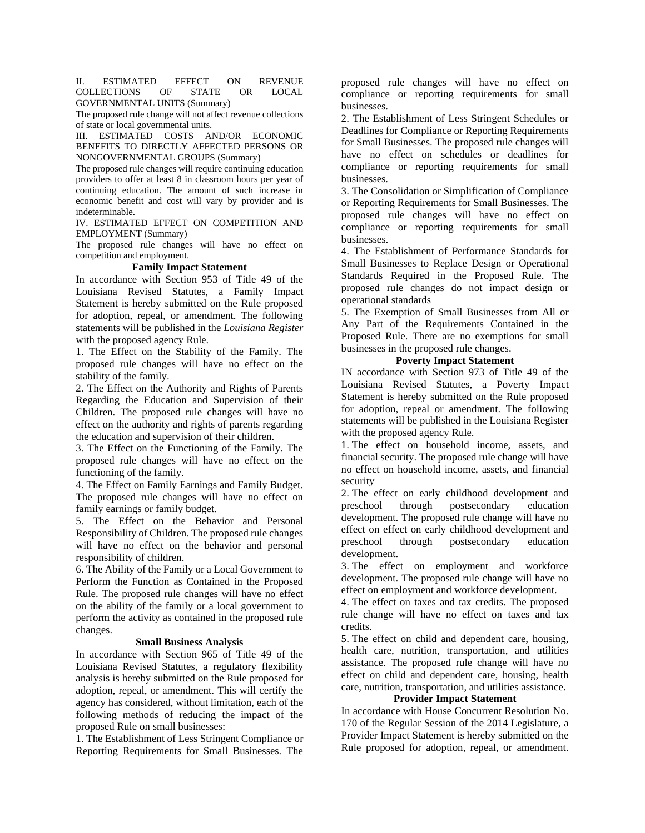### II. ESTIMATED EFFECT ON REVENUE COLLECTIONS OF STATE OR LOCAL GOVERNMENTAL UNITS (Summary)

The proposed rule change will not affect revenue collections of state or local governmental units.

III. ESTIMATED COSTS AND/OR ECONOMIC BENEFITS TO DIRECTLY AFFECTED PERSONS OR NONGOVERNMENTAL GROUPS (Summary)

The proposed rule changes will require continuing education providers to offer at least 8 in classroom hours per year of continuing education. The amount of such increase in economic benefit and cost will vary by provider and is indeterminable.

IV. ESTIMATED EFFECT ON COMPETITION AND EMPLOYMENT (Summary)

The proposed rule changes will have no effect on competition and employment.

# **Family Impact Statement**

In accordance with Section 953 of Title 49 of the Louisiana Revised Statutes, a Family Impact Statement is hereby submitted on the Rule proposed for adoption, repeal, or amendment. The following statements will be published in the *Louisiana Register*  with the proposed agency Rule.

1. The Effect on the Stability of the Family. The proposed rule changes will have no effect on the stability of the family.

2. The Effect on the Authority and Rights of Parents Regarding the Education and Supervision of their Children. The proposed rule changes will have no effect on the authority and rights of parents regarding the education and supervision of their children.

3. The Effect on the Functioning of the Family. The proposed rule changes will have no effect on the functioning of the family.

4. The Effect on Family Earnings and Family Budget. The proposed rule changes will have no effect on family earnings or family budget.

5. The Effect on the Behavior and Personal Responsibility of Children. The proposed rule changes will have no effect on the behavior and personal responsibility of children.

6. The Ability of the Family or a Local Government to Perform the Function as Contained in the Proposed Rule. The proposed rule changes will have no effect on the ability of the family or a local government to perform the activity as contained in the proposed rule changes.

### **Small Business Analysis**

In accordance with Section 965 of Title 49 of the Louisiana Revised Statutes, a regulatory flexibility analysis is hereby submitted on the Rule proposed for adoption, repeal, or amendment. This will certify the agency has considered, without limitation, each of the following methods of reducing the impact of the proposed Rule on small businesses:

1. The Establishment of Less Stringent Compliance or Reporting Requirements for Small Businesses. The proposed rule changes will have no effect on compliance or reporting requirements for small businesses.

2. The Establishment of Less Stringent Schedules or Deadlines for Compliance or Reporting Requirements for Small Businesses. The proposed rule changes will have no effect on schedules or deadlines for compliance or reporting requirements for small businesses.

3. The Consolidation or Simplification of Compliance or Reporting Requirements for Small Businesses. The proposed rule changes will have no effect on compliance or reporting requirements for small businesses.

4. The Establishment of Performance Standards for Small Businesses to Replace Design or Operational Standards Required in the Proposed Rule. The proposed rule changes do not impact design or operational standards

5. The Exemption of Small Businesses from All or Any Part of the Requirements Contained in the Proposed Rule. There are no exemptions for small businesses in the proposed rule changes.

### **Poverty Impact Statement**

IN accordance with Section 973 of Title 49 of the Louisiana Revised Statutes, a Poverty Impact Statement is hereby submitted on the Rule proposed for adoption, repeal or amendment. The following statements will be published in the Louisiana Register with the proposed agency Rule.

1. The effect on household income, assets, and financial security. The proposed rule change will have no effect on household income, assets, and financial security

2. The effect on early childhood development and preschool through postsecondary education development. The proposed rule change will have no effect on effect on early childhood development and preschool through postsecondary education development.

3. The effect on employment and workforce development. The proposed rule change will have no effect on employment and workforce development.

4. The effect on taxes and tax credits. The proposed rule change will have no effect on taxes and tax credits.

5. The effect on child and dependent care, housing, health care, nutrition, transportation, and utilities assistance. The proposed rule change will have no effect on child and dependent care, housing, health care, nutrition, transportation, and utilities assistance.

## **Provider Impact Statement**

In accordance with House Concurrent Resolution No. 170 of the Regular Session of the 2014 Legislature, a Provider Impact Statement is hereby submitted on the Rule proposed for adoption, repeal, or amendment.